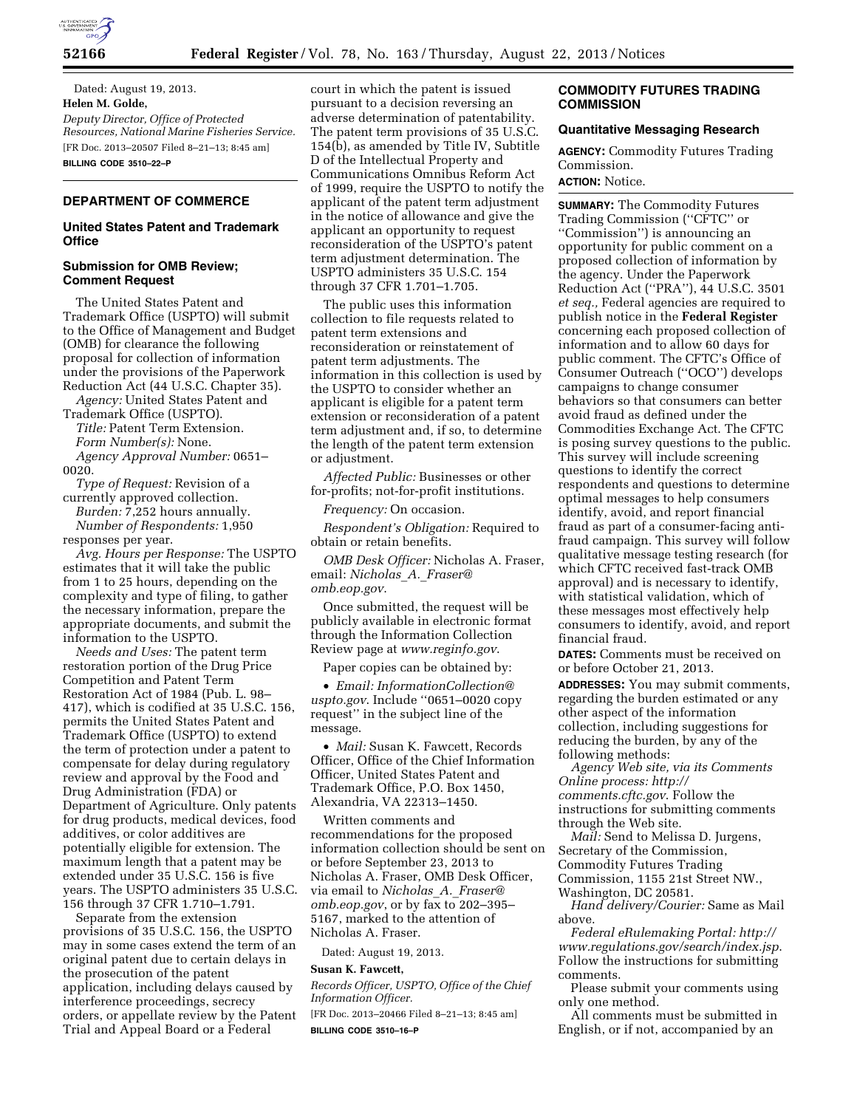

Dated: August 19, 2013. **Helen M. Golde,**  *Deputy Director, Office of Protected Resources, National Marine Fisheries Service.*  [FR Doc. 2013–20507 Filed 8–21–13; 8:45 am] **BILLING CODE 3510–22–P** 

# **DEPARTMENT OF COMMERCE**

#### **United States Patent and Trademark Office**

#### **Submission for OMB Review; Comment Request**

The United States Patent and Trademark Office (USPTO) will submit to the Office of Management and Budget (OMB) for clearance the following proposal for collection of information under the provisions of the Paperwork Reduction Act (44 U.S.C. Chapter 35).

*Agency:* United States Patent and Trademark Office (USPTO).

*Title:* Patent Term Extension. *Form Number(s):* None. *Agency Approval Number:* 0651– 0020.

*Type of Request:* Revision of a currently approved collection. *Burden:* 7,252 hours annually. *Number of Respondents:* 1,950 responses per year.

*Avg. Hours per Response:* The USPTO estimates that it will take the public from 1 to 25 hours, depending on the complexity and type of filing, to gather the necessary information, prepare the appropriate documents, and submit the information to the USPTO.

*Needs and Uses:* The patent term restoration portion of the Drug Price Competition and Patent Term Restoration Act of 1984 (Pub. L. 98– 417), which is codified at 35 U.S.C. 156, permits the United States Patent and Trademark Office (USPTO) to extend the term of protection under a patent to compensate for delay during regulatory review and approval by the Food and Drug Administration (FDA) or Department of Agriculture. Only patents for drug products, medical devices, food additives, or color additives are potentially eligible for extension. The maximum length that a patent may be extended under 35 U.S.C. 156 is five years. The USPTO administers 35 U.S.C. 156 through 37 CFR 1.710–1.791.

Separate from the extension provisions of 35 U.S.C. 156, the USPTO may in some cases extend the term of an original patent due to certain delays in the prosecution of the patent application, including delays caused by interference proceedings, secrecy orders, or appellate review by the Patent Trial and Appeal Board or a Federal

court in which the patent is issued pursuant to a decision reversing an adverse determination of patentability. The patent term provisions of 35 U.S.C. 154(b), as amended by Title IV, Subtitle D of the Intellectual Property and Communications Omnibus Reform Act of 1999, require the USPTO to notify the applicant of the patent term adjustment in the notice of allowance and give the applicant an opportunity to request reconsideration of the USPTO's patent term adjustment determination. The USPTO administers 35 U.S.C. 154 through 37 CFR 1.701–1.705.

The public uses this information collection to file requests related to patent term extensions and reconsideration or reinstatement of patent term adjustments. The information in this collection is used by the USPTO to consider whether an applicant is eligible for a patent term extension or reconsideration of a patent term adjustment and, if so, to determine the length of the patent term extension or adjustment.

*Affected Public:* Businesses or other for-profits; not-for-profit institutions.

*Frequency:* On occasion.

*Respondent's Obligation:* Required to obtain or retain benefits.

*OMB Desk Officer:* Nicholas A. Fraser, email: *[Nicholas](mailto:Nicholas_A._Fraser@omb.eop.gov)*\_*A.*\_*Fraser@ [omb.eop.gov](mailto:Nicholas_A._Fraser@omb.eop.gov)*.

Once submitted, the request will be publicly available in electronic format through the Information Collection Review page at *[www.reginfo.gov](http://www.reginfo.gov)*.

Paper copies can be obtained by:

• *Email: [InformationCollection@](mailto:InformationCollection@uspto.gov) [uspto.gov](mailto:InformationCollection@uspto.gov)*. Include ''0651–0020 copy request'' in the subject line of the message.

• *Mail:* Susan K. Fawcett, Records Officer, Office of the Chief Information Officer, United States Patent and Trademark Office, P.O. Box 1450, Alexandria, VA 22313–1450.

Written comments and recommendations for the proposed information collection should be sent on or before September 23, 2013 to Nicholas A. Fraser, OMB Desk Officer, via email to *[Nicholas](mailto:Nicholas_A._Fraser@omb.eop.gov)*\_*A.*\_*Fraser@ [omb.eop.gov](mailto:Nicholas_A._Fraser@omb.eop.gov)*, or by fax to 202–395– 5167, marked to the attention of Nicholas A. Fraser.

Dated: August 19, 2013.

### **Susan K. Fawcett,**

*Records Officer, USPTO, Office of the Chief Information Officer.* 

[FR Doc. 2013–20466 Filed 8–21–13; 8:45 am] **BILLING CODE 3510–16–P** 

# **COMMODITY FUTURES TRADING COMMISSION**

### **Quantitative Messaging Research**

**AGENCY:** Commodity Futures Trading Commission.

# **ACTION:** Notice.

**SUMMARY:** The Commodity Futures Trading Commission (''CFTC'' or ''Commission'') is announcing an opportunity for public comment on a proposed collection of information by the agency. Under the Paperwork Reduction Act (''PRA''), 44 U.S.C. 3501 *et seq.,* Federal agencies are required to publish notice in the **Federal Register**  concerning each proposed collection of information and to allow 60 days for public comment. The CFTC's Office of Consumer Outreach (''OCO'') develops campaigns to change consumer behaviors so that consumers can better avoid fraud as defined under the Commodities Exchange Act. The CFTC is posing survey questions to the public. This survey will include screening questions to identify the correct respondents and questions to determine optimal messages to help consumers identify, avoid, and report financial fraud as part of a consumer-facing antifraud campaign. This survey will follow qualitative message testing research (for which CFTC received fast-track OMB approval) and is necessary to identify, with statistical validation, which of these messages most effectively help consumers to identify, avoid, and report financial fraud.

**DATES:** Comments must be received on or before October 21, 2013.

**ADDRESSES:** You may submit comments, regarding the burden estimated or any other aspect of the information collection, including suggestions for reducing the burden, by any of the following methods:

*Agency Web site, via its Comments Online process: [http://](http://comments.cftc.gov) [comments.cftc.gov](http://comments.cftc.gov)*. Follow the instructions for submitting comments through the Web site.

*Mail:* Send to Melissa D. Jurgens, Secretary of the Commission, Commodity Futures Trading Commission, 1155 21st Street NW., Washington, DC 20581.

*Hand delivery/Courier:* Same as Mail above.

*Federal eRulemaking Portal: [http://](http://www.regulations.gov/search/index.jsp) [www.regulations.gov/search/index.jsp](http://www.regulations.gov/search/index.jsp)*. Follow the instructions for submitting comments.

Please submit your comments using only one method.

All comments must be submitted in English, or if not, accompanied by an